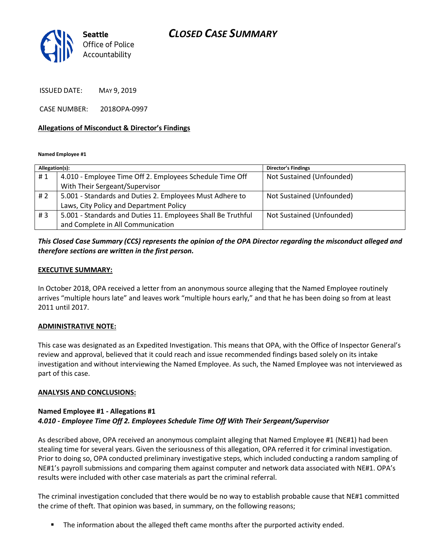# *CLOSED CASE SUMMARY*



ISSUED DATE: MAY 9, 2019

CASE NUMBER: 2018OPA-0997

## **Allegations of Misconduct & Director's Findings**

**Named Employee #1**

| Allegation(s): |                                                              | Director's Findings       |
|----------------|--------------------------------------------------------------|---------------------------|
| #1             | 4.010 - Employee Time Off 2. Employees Schedule Time Off     | Not Sustained (Unfounded) |
|                | With Their Sergeant/Supervisor                               |                           |
| #2             | 5.001 - Standards and Duties 2. Employees Must Adhere to     | Not Sustained (Unfounded) |
|                | Laws, City Policy and Department Policy                      |                           |
| #3             | 5.001 - Standards and Duties 11. Employees Shall Be Truthful | Not Sustained (Unfounded) |
|                | and Complete in All Communication                            |                           |
|                |                                                              |                           |

## *This Closed Case Summary (CCS) represents the opinion of the OPA Director regarding the misconduct alleged and therefore sections are written in the first person.*

#### **EXECUTIVE SUMMARY:**

In October 2018, OPA received a letter from an anonymous source alleging that the Named Employee routinely arrives "multiple hours late" and leaves work "multiple hours early," and that he has been doing so from at least 2011 until 2017.

#### **ADMINISTRATIVE NOTE:**

This case was designated as an Expedited Investigation. This means that OPA, with the Office of Inspector General's review and approval, believed that it could reach and issue recommended findings based solely on its intake investigation and without interviewing the Named Employee. As such, the Named Employee was not interviewed as part of this case.

## **ANALYSIS AND CONCLUSIONS:**

## **Named Employee #1 - Allegations #1** *4.010 - Employee Time Off 2. Employees Schedule Time Off With Their Sergeant/Supervisor*

As described above, OPA received an anonymous complaint alleging that Named Employee #1 (NE#1) had been stealing time for several years. Given the seriousness of this allegation, OPA referred it for criminal investigation. Prior to doing so, OPA conducted preliminary investigative steps, which included conducting a random sampling of NE#1's payroll submissions and comparing them against computer and network data associated with NE#1. OPA's results were included with other case materials as part the criminal referral.

The criminal investigation concluded that there would be no way to establish probable cause that NE#1 committed the crime of theft. That opinion was based, in summary, on the following reasons;

■ The information about the alleged theft came months after the purported activity ended.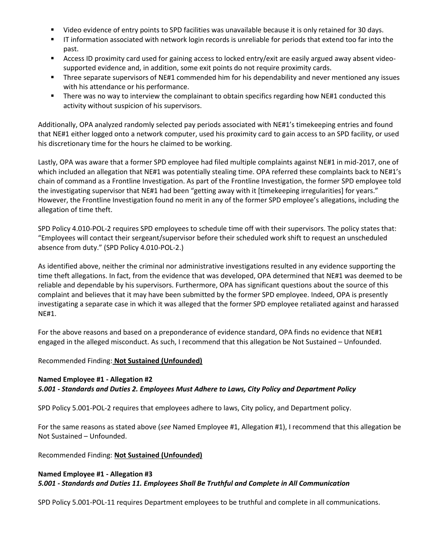- Video evidence of entry points to SPD facilities was unavailable because it is only retained for 30 days.
- IT information associated with network login records is unreliable for periods that extend too far into the past.
- Access ID proximity card used for gaining access to locked entry/exit are easily argued away absent videosupported evidence and, in addition, some exit points do not require proximity cards.
- **■** Three separate supervisors of NE#1 commended him for his dependability and never mentioned any issues with his attendance or his performance.
- There was no way to interview the complainant to obtain specifics regarding how NE#1 conducted this activity without suspicion of his supervisors.

Additionally, OPA analyzed randomly selected pay periods associated with NE#1's timekeeping entries and found that NE#1 either logged onto a network computer, used his proximity card to gain access to an SPD facility, or used his discretionary time for the hours he claimed to be working.

Lastly, OPA was aware that a former SPD employee had filed multiple complaints against NE#1 in mid-2017, one of which included an allegation that NE#1 was potentially stealing time. OPA referred these complaints back to NE#1's chain of command as a Frontline Investigation. As part of the Frontline Investigation, the former SPD employee told the investigating supervisor that NE#1 had been "getting away with it [timekeeping irregularities] for years." However, the Frontline Investigation found no merit in any of the former SPD employee's allegations, including the allegation of time theft.

SPD Policy 4.010-POL-2 requires SPD employees to schedule time off with their supervisors. The policy states that: "Employees will contact their sergeant/supervisor before their scheduled work shift to request an unscheduled absence from duty." (SPD Policy 4.010-POL-2.)

As identified above, neither the criminal nor administrative investigations resulted in any evidence supporting the time theft allegations. In fact, from the evidence that was developed, OPA determined that NE#1 was deemed to be reliable and dependable by his supervisors. Furthermore, OPA has significant questions about the source of this complaint and believes that it may have been submitted by the former SPD employee. Indeed, OPA is presently investigating a separate case in which it was alleged that the former SPD employee retaliated against and harassed NE#1.

For the above reasons and based on a preponderance of evidence standard, OPA finds no evidence that NE#1 engaged in the alleged misconduct. As such, I recommend that this allegation be Not Sustained – Unfounded.

## Recommended Finding: **Not Sustained (Unfounded)**

# **Named Employee #1 - Allegation #2** *5.001 - Standards and Duties 2. Employees Must Adhere to Laws, City Policy and Department Policy*

SPD Policy 5.001-POL-2 requires that employees adhere to laws, City policy, and Department policy.

For the same reasons as stated above (*see* Named Employee #1, Allegation #1), I recommend that this allegation be Not Sustained – Unfounded.

## Recommended Finding: **Not Sustained (Unfounded)**

## **Named Employee #1 - Allegation #3** *5.001 - Standards and Duties 11. Employees Shall Be Truthful and Complete in All Communication*

SPD Policy 5.001-POL-11 requires Department employees to be truthful and complete in all communications.